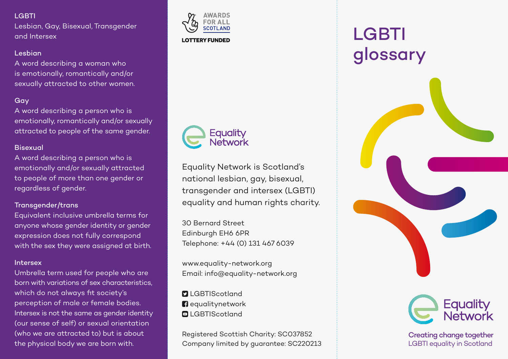## **LGBTI**

Lesbian, Gay, Bisexual, Transgender and Intersex

## Lesbian

A word describing a woman who is emotionally, romantically and/or sexually attracted to other women.

## Gay

A word describing a person who is emotionally, romantically and/or sexually attracted to people of the same gender.

## **Bisexual**

A word describing a person who is emotionally and/or sexually attracted to people of more than one gender or regardless of gender.

## Transgender/trans

Equivalent inclusive umbrella terms for anyone whose gender identity or gender expression does not fully correspond with the sex they were assigned at birth.

#### Intersex

Umbrella term used for people who are born with variations of sex characteristics, which do not always fit society's perception of male or female bodies. Intersex is not the same as gender identity (our sense of self) or sexual orientation (who we are attracted to) but is about the physical body we are born with.



**LOTTERY FUNDED** 



Equality Network is Scotland's national lesbian, gay, bisexual, transgender and intersex (LGBTI) equality and human rights charity.

30 Bernard Street Edinburgh EH6 6PR Telephone: +44 (0) 131 467 6039

www.equality-network.org Email: info@equality-network.org

**D** LGBTIScotland **n** equalitynetwork **QLGBTIScotland** 

Registered Scottish Charity: SC037852 Company limited by guarantee: SC220213

# LGBTI glossary



Creating change together LGBTI equality in Scotland